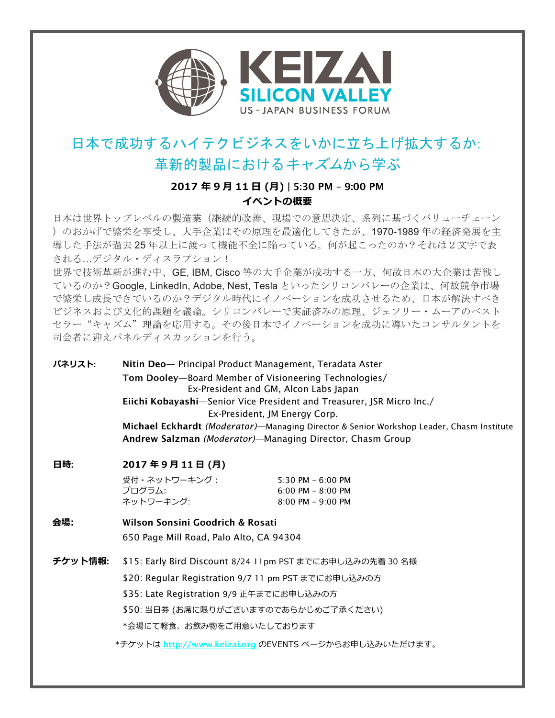

## 日本で成功するハイテクビジネスをいかに立ち上げ拡大するか: 革新的製品におけるキャズムから学ぶ

## **2017 年 9 ⽉ 11 ⽇ (⽉)** | 5:30 PM – 9:00 PM **イベントの概要**

日本は世界トップレベルの製造業(継続的改善、現場での意思決定、系列に基づくバリューチェーン )のおかげで繁栄を享受し、大手企業はその原理を最適化してきたが、1970-1989 年の経済発展を主 導した手法が過去 25 年以上に渡って機能不全に陥っている。何が起こったのか?それは2文字で表 される…デジタル・ディスラプション!

世界で技術革新が進む中、GE, IBM, Cisco 等の大手企業が成功する一方、何故日本の大企業は苦戦し ているのか?Google, LinkedIn, Adobe, Nest, Tesla といったシリコンバレーの企業は、何故競争市場 で繁栄し成長できているのか?デジタル時代にイノベーションを成功させるため、日本が解決すべき ビジネスおよび文化的課題を議論。シリコンバレーで実証済みの原理、ジェフリー・ムーアのベスト セラー"キャズム"理論を応用する。その後日本でイノベーションを成功に導いたコンサルタントを 司会者に迎えパネルディスカッションを行う。

**パネリスト**: Nitin Deo— Principal Product Management, Teradata Aster Tom Dooley—Board Member of Visioneering Technologies/ Ex-President and GM, Alcon Labs Japan Eiichi Kobayashi—Senior Vice President and Treasurer, JSR Micro Inc./ Ex-President, JM Energy Corp. Michael Eckhardt *(Moderator)—*Managing Director & Senior Workshop Leader, Chasm Institute Andrew Salzman *(Moderator)—*Managing Director, Chasm Group

## $\overline{AB}$ : 2017年9月11日(月)

受付・ネットワーキング: 5:30 PM – 6:00 PM プログラム: 6:00 PM – 8:00 PM ネットワーキング: 8:00 PM – 9:00 PM

**会場:** Wilson Sonsini Goodrich & Rosati 650 Page Mill Road, Palo Alto, CA 94304

**チケット情報**: \$15: Early Bird Discount 8/24 11pm PST までにお申し込みの先着 30 名様

\$20: Regular Registration 9/7 11 pm PST までにお申し込みの方

\$35: Late Registration 9/9 正午までにお申し込みの方

\$50: 当日券 (お席に限りがございますのであらかじめご了承ください)

\*会場にて軽食、お飲み物をご用意いたしております

\*チケットは http://www.keizai.org のEVENTS ページからお申し込みいただけます。